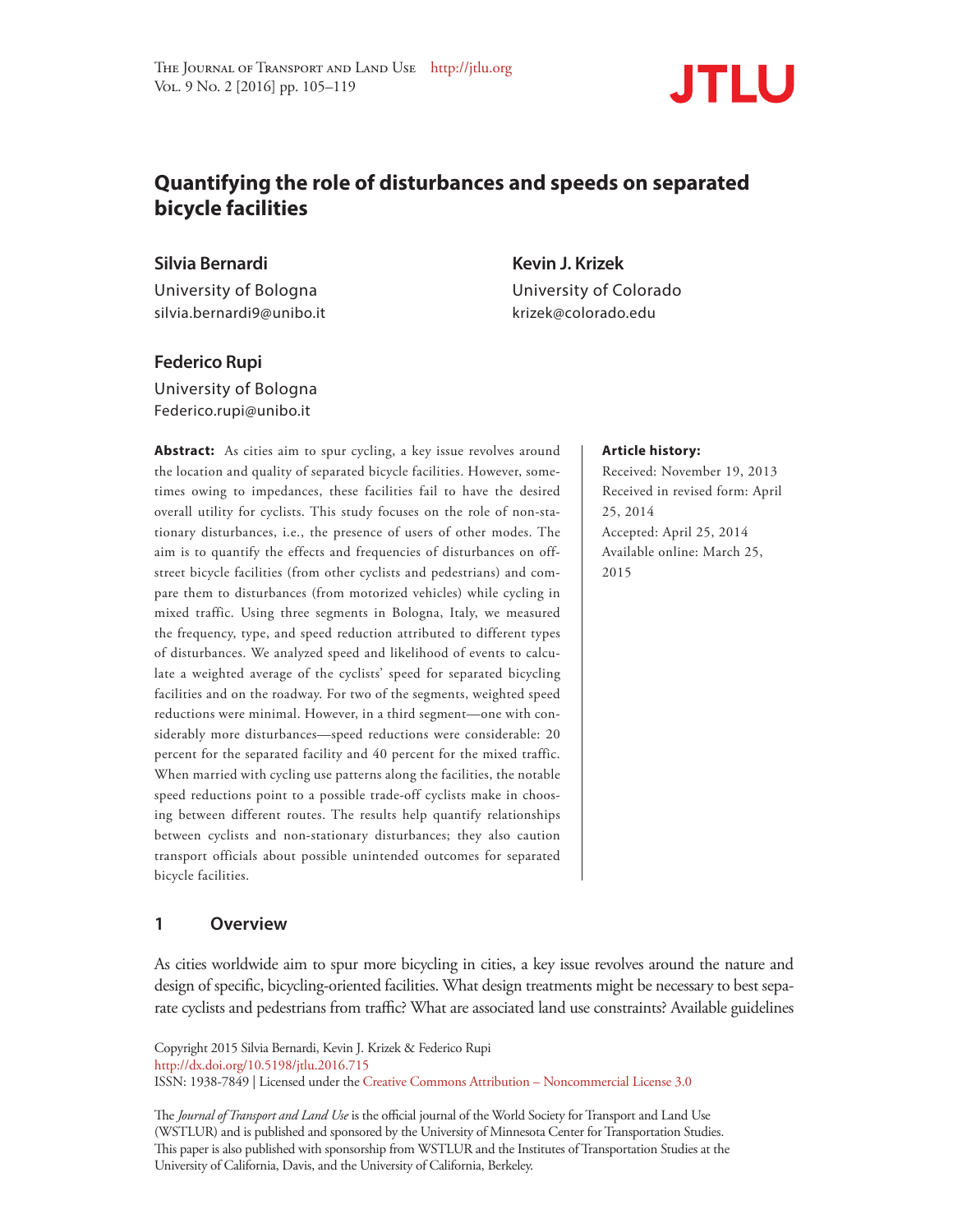

# **Quantifying the role of disturbances and speeds on separated bicycle facilities**

**Silvia Bernardi Kevin J. Krizek**

University of Bologna University of Colorado silvia.bernardi9@unibo.it krizek@colorado.edu

## **Federico Rupi**

University of Bologna Federico.rupi@unibo.it

Abstract: As cities aim to spur cycling, a key issue revolves around the location and quality of separated bicycle facilities. However, sometimes owing to impedances, these facilities fail to have the desired overall utility for cyclists. This study focuses on the role of non-stationary disturbances, i.e., the presence of users of other modes. The aim is to quantify the effects and frequencies of disturbances on offstreet bicycle facilities (from other cyclists and pedestrians) and compare them to disturbances (from motorized vehicles) while cycling in mixed traffic. Using three segments in Bologna, Italy, we measured the frequency, type, and speed reduction attributed to different types of disturbances. We analyzed speed and likelihood of events to calculate a weighted average of the cyclists' speed for separated bicycling facilities and on the roadway. For two of the segments, weighted speed reductions were minimal. However, in a third segment—one with considerably more disturbances—speed reductions were considerable: 20 percent for the separated facility and 40 percent for the mixed traffic. When married with cycling use patterns along the facilities, the notable speed reductions point to a possible trade-off cyclists make in choosing between different routes. The results help quantify relationships between cyclists and non-stationary disturbances; they also caution transport officials about possible unintended outcomes for separated bicycle facilities.

# **1 Overview**

As cities worldwide aim to spur more bicycling in cities, a key issue revolves around the nature and design of specific, bicycling-oriented facilities. What design treatments might be necessary to best separate cyclists and pedestrians from traffic? What are associated land use constraints? Available guidelines

Copyright 2015 Silvia Bernardi, Kevin J. Krizek & Federico Rupi http://dx.doi.org/10.5198/jtlu.2016.715 ISSN: 1938-7849 | Licensed under the Creative Commons Attribution – Noncommercial License 3.0

The *Journal of Transport and Land Use* is the official journal of the World Society for Transport and Land Use (WSTLUR) and is published and sponsored by the University of Minnesota Center for Transportation Studies. This paper is also published with sponsorship from WSTLUR and the Institutes of Transportation Studies at the University of California, Davis, and the University of California, Berkeley.

#### **Article history:**

Received: November 19, 2013 Received in revised form: April 25, 2014 Accepted: April 25, 2014 Available online: March 25, 2015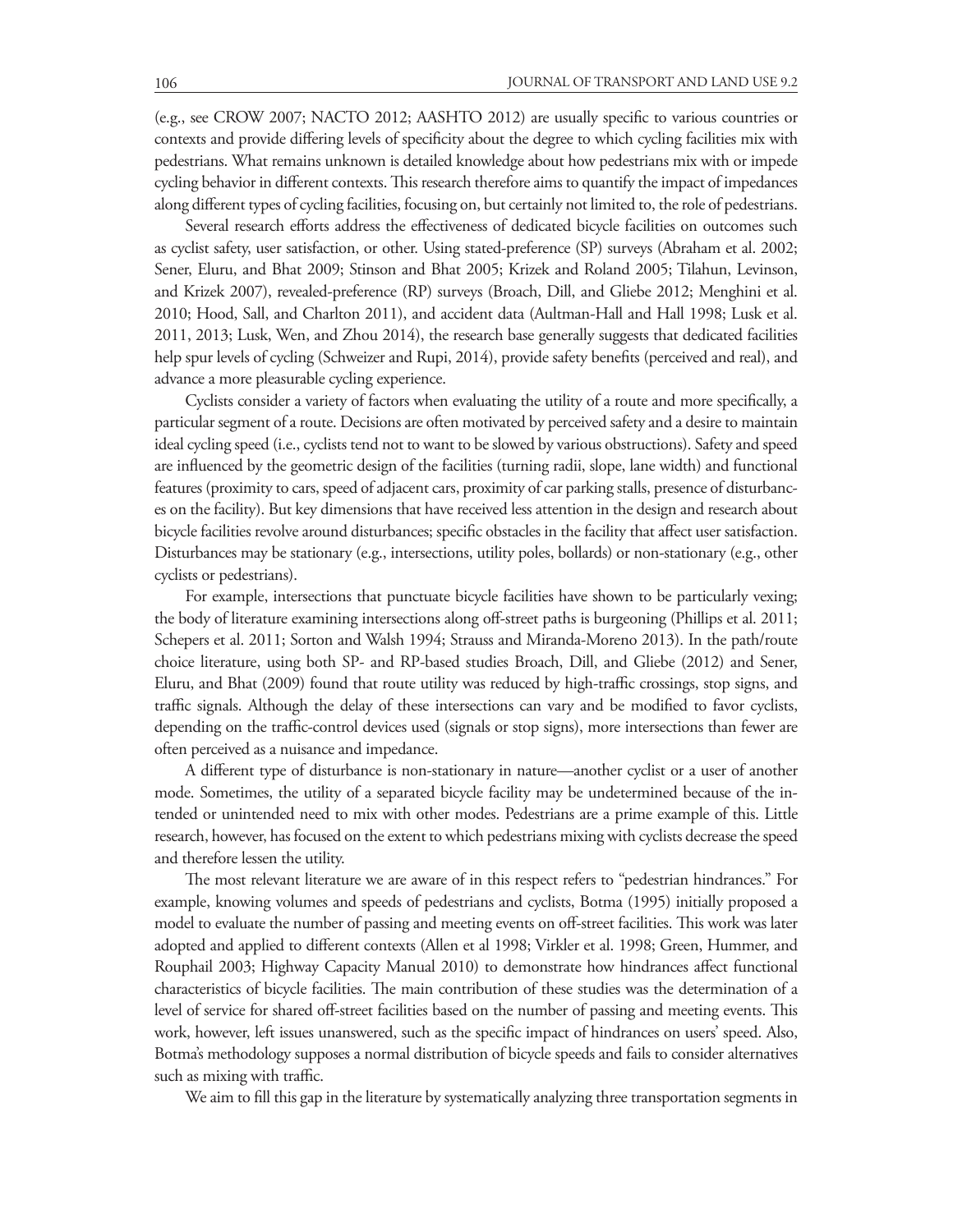(e.g., see CROW 2007; NACTO 2012; AASHTO 2012) are usually specific to various countries or contexts and provide differing levels of specificity about the degree to which cycling facilities mix with pedestrians. What remains unknown is detailed knowledge about how pedestrians mix with or impede cycling behavior in different contexts. This research therefore aims to quantify the impact of impedances along different types of cycling facilities, focusing on, but certainly not limited to, the role of pedestrians.

Several research efforts address the effectiveness of dedicated bicycle facilities on outcomes such as cyclist safety, user satisfaction, or other. Using stated-preference (SP) surveys (Abraham et al. 2002; Sener, Eluru, and Bhat 2009; Stinson and Bhat 2005; Krizek and Roland 2005; Tilahun, Levinson, and Krizek 2007), revealed-preference (RP) surveys (Broach, Dill, and Gliebe 2012; Menghini et al. 2010; Hood, Sall, and Charlton 2011), and accident data (Aultman-Hall and Hall 1998; Lusk et al. 2011, 2013; Lusk, Wen, and Zhou 2014), the research base generally suggests that dedicated facilities help spur levels of cycling (Schweizer and Rupi, 2014), provide safety benefits (perceived and real), and advance a more pleasurable cycling experience.

Cyclists consider a variety of factors when evaluating the utility of a route and more specifically, a particular segment of a route. Decisions are often motivated by perceived safety and a desire to maintain ideal cycling speed (i.e., cyclists tend not to want to be slowed by various obstructions). Safety and speed are influenced by the geometric design of the facilities (turning radii, slope, lane width) and functional features (proximity to cars, speed of adjacent cars, proximity of car parking stalls, presence of disturbances on the facility). But key dimensions that have received less attention in the design and research about bicycle facilities revolve around disturbances; specific obstacles in the facility that affect user satisfaction. Disturbances may be stationary (e.g., intersections, utility poles, bollards) or non-stationary (e.g., other cyclists or pedestrians).

For example, intersections that punctuate bicycle facilities have shown to be particularly vexing; the body of literature examining intersections along off-street paths is burgeoning (Phillips et al. 2011; Schepers et al. 2011; Sorton and Walsh 1994; Strauss and Miranda-Moreno 2013). In the path/route choice literature, using both SP- and RP-based studies Broach, Dill, and Gliebe (2012) and Sener, Eluru, and Bhat (2009) found that route utility was reduced by high-traffic crossings, stop signs, and traffic signals. Although the delay of these intersections can vary and be modified to favor cyclists, depending on the traffic-control devices used (signals or stop signs), more intersections than fewer are often perceived as a nuisance and impedance.

A different type of disturbance is non-stationary in nature—another cyclist or a user of another mode. Sometimes, the utility of a separated bicycle facility may be undetermined because of the intended or unintended need to mix with other modes. Pedestrians are a prime example of this. Little research, however, has focused on the extent to which pedestrians mixing with cyclists decrease the speed and therefore lessen the utility.

The most relevant literature we are aware of in this respect refers to "pedestrian hindrances." For example, knowing volumes and speeds of pedestrians and cyclists, Botma (1995) initially proposed a model to evaluate the number of passing and meeting events on off-street facilities. This work was later adopted and applied to different contexts (Allen et al 1998; Virkler et al. 1998; Green, Hummer, and Rouphail 2003; Highway Capacity Manual 2010) to demonstrate how hindrances affect functional characteristics of bicycle facilities. The main contribution of these studies was the determination of a level of service for shared off-street facilities based on the number of passing and meeting events. This work, however, left issues unanswered, such as the specific impact of hindrances on users' speed. Also, Botma's methodology supposes a normal distribution of bicycle speeds and fails to consider alternatives such as mixing with traffic.

We aim to fill this gap in the literature by systematically analyzing three transportation segments in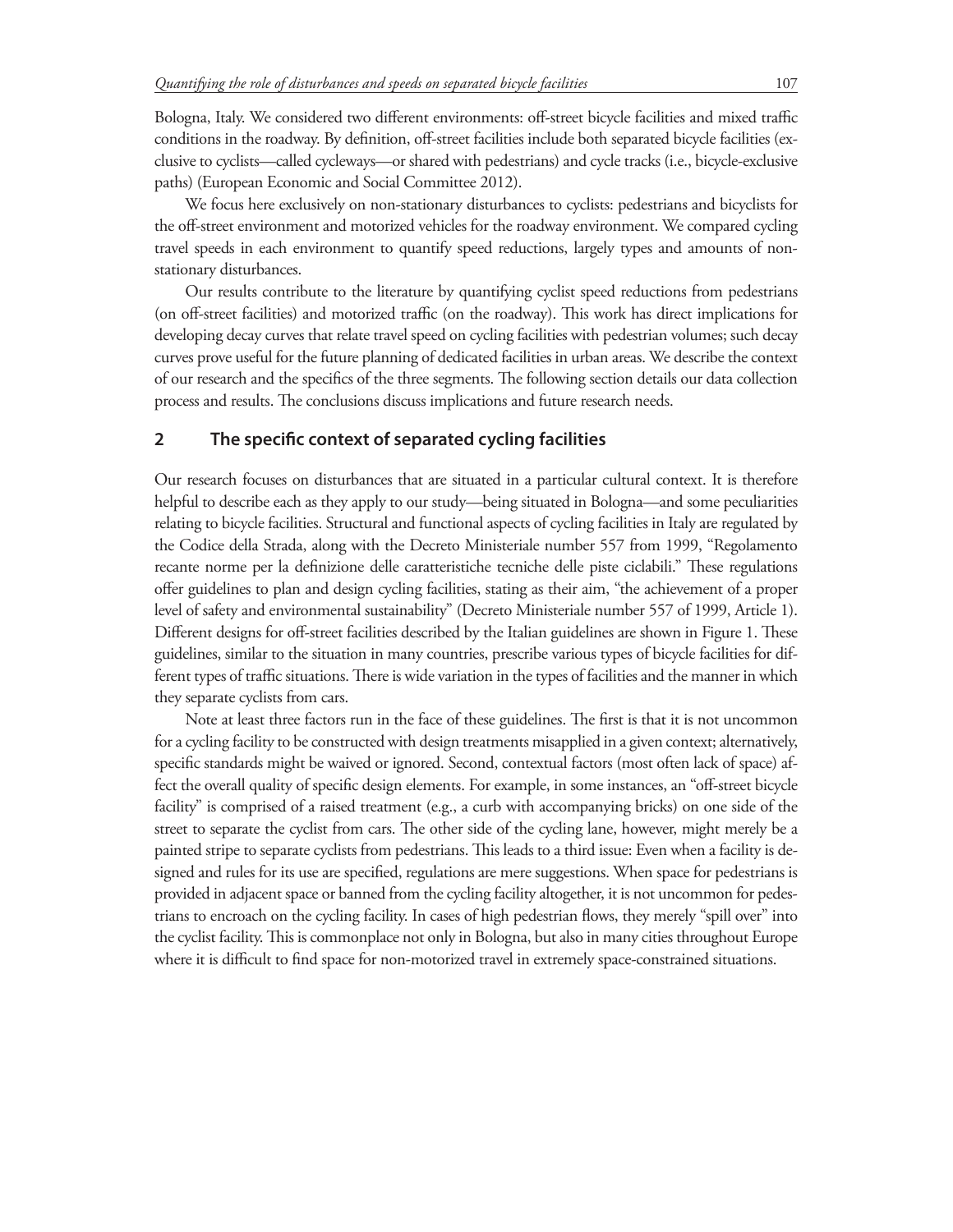Bologna, Italy. We considered two different environments: off-street bicycle facilities and mixed traffic conditions in the roadway. By definition, off-street facilities include both separated bicycle facilities (exclusive to cyclists—called cycleways—or shared with pedestrians) and cycle tracks (i.e., bicycle-exclusive paths) (European Economic and Social Committee 2012).

We focus here exclusively on non-stationary disturbances to cyclists: pedestrians and bicyclists for the off-street environment and motorized vehicles for the roadway environment. We compared cycling travel speeds in each environment to quantify speed reductions, largely types and amounts of nonstationary disturbances.

Our results contribute to the literature by quantifying cyclist speed reductions from pedestrians (on off-street facilities) and motorized traffic (on the roadway). This work has direct implications for developing decay curves that relate travel speed on cycling facilities with pedestrian volumes; such decay curves prove useful for the future planning of dedicated facilities in urban areas. We describe the context of our research and the specifics of the three segments. The following section details our data collection process and results. The conclusions discuss implications and future research needs.

# **2 The specific context of separated cycling facilities**

Our research focuses on disturbances that are situated in a particular cultural context. It is therefore helpful to describe each as they apply to our study—being situated in Bologna—and some peculiarities relating to bicycle facilities. Structural and functional aspects of cycling facilities in Italy are regulated by the Codice della Strada, along with the Decreto Ministeriale number 557 from 1999, "Regolamento recante norme per la definizione delle caratteristiche tecniche delle piste ciclabili." These regulations offer guidelines to plan and design cycling facilities, stating as their aim, "the achievement of a proper level of safety and environmental sustainability" (Decreto Ministeriale number 557 of 1999, Article 1). Different designs for off-street facilities described by the Italian guidelines are shown in Figure 1. These guidelines, similar to the situation in many countries, prescribe various types of bicycle facilities for different types of traffic situations. There is wide variation in the types of facilities and the manner in which they separate cyclists from cars.

Note at least three factors run in the face of these guidelines. The first is that it is not uncommon for a cycling facility to be constructed with design treatments misapplied in a given context; alternatively, specific standards might be waived or ignored. Second, contextual factors (most often lack of space) affect the overall quality of specific design elements. For example, in some instances, an "off-street bicycle facility" is comprised of a raised treatment (e.g., a curb with accompanying bricks) on one side of the street to separate the cyclist from cars. The other side of the cycling lane, however, might merely be a painted stripe to separate cyclists from pedestrians. This leads to a third issue: Even when a facility is designed and rules for its use are specified, regulations are mere suggestions. When space for pedestrians is provided in adjacent space or banned from the cycling facility altogether, it is not uncommon for pedestrians to encroach on the cycling facility. In cases of high pedestrian flows, they merely "spill over" into the cyclist facility. This is commonplace not only in Bologna, but also in many cities throughout Europe where it is difficult to find space for non-motorized travel in extremely space-constrained situations.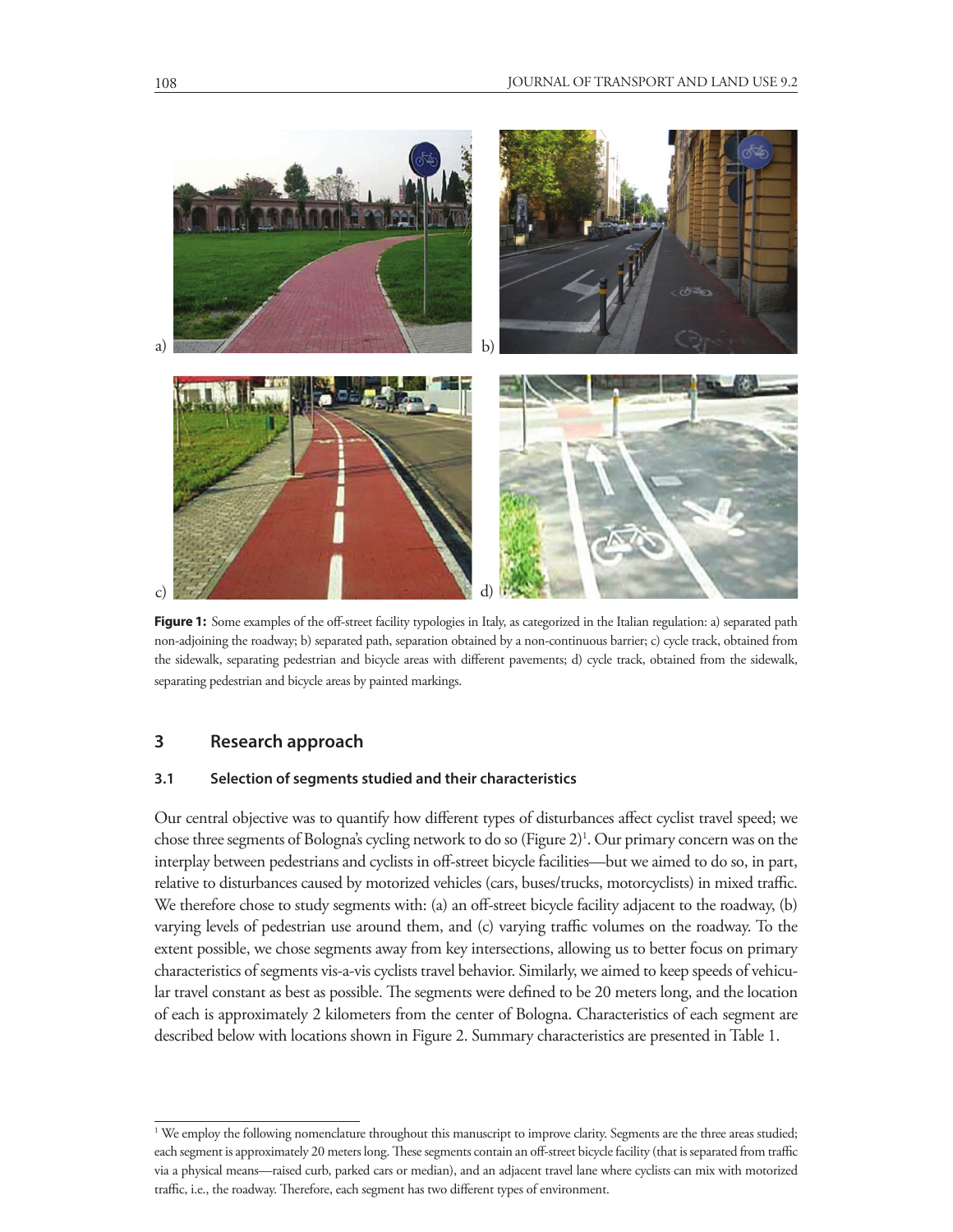

Figure 1: Some examples of the off-street facility typologies in Italy, as categorized in the Italian regulation: a) separated path non-adjoining the roadway; b) separated path, separation obtained by a non-continuous barrier; c) cycle track, obtained from the sidewalk, separating pedestrian and bicycle areas with different pavements; d) cycle track, obtained from the sidewalk, separating pedestrian and bicycle areas by painted markings.

# **3 Research approach**

### **3.1 Selection of segments studied and their characteristics**

Our central objective was to quantify how different types of disturbances affect cyclist travel speed; we chose three segments of Bologna's cycling network to do so (Figure 2)<sup>1</sup>. Our primary concern was on the interplay between pedestrians and cyclists in off-street bicycle facilities—but we aimed to do so, in part, relative to disturbances caused by motorized vehicles (cars, buses/trucks, motorcyclists) in mixed traffic. We therefore chose to study segments with: (a) an off-street bicycle facility adjacent to the roadway, (b) varying levels of pedestrian use around them, and (c) varying traffic volumes on the roadway. To the extent possible, we chose segments away from key intersections, allowing us to better focus on primary characteristics of segments vis-a-vis cyclists travel behavior. Similarly, we aimed to keep speeds of vehicular travel constant as best as possible. The segments were defined to be 20 meters long, and the location of each is approximately 2 kilometers from the center of Bologna. Characteristics of each segment are described below with locations shown in Figure 2. Summary characteristics are presented in Table 1.

<sup>&</sup>lt;sup>1</sup> We employ the following nomenclature throughout this manuscript to improve clarity. Segments are the three areas studied; each segment is approximately 20 meters long. These segments contain an off-street bicycle facility (that is separated from traffic via a physical means—raised curb, parked cars or median), and an adjacent travel lane where cyclists can mix with motorized traffic, i.e., the roadway. Therefore, each segment has two different types of environment.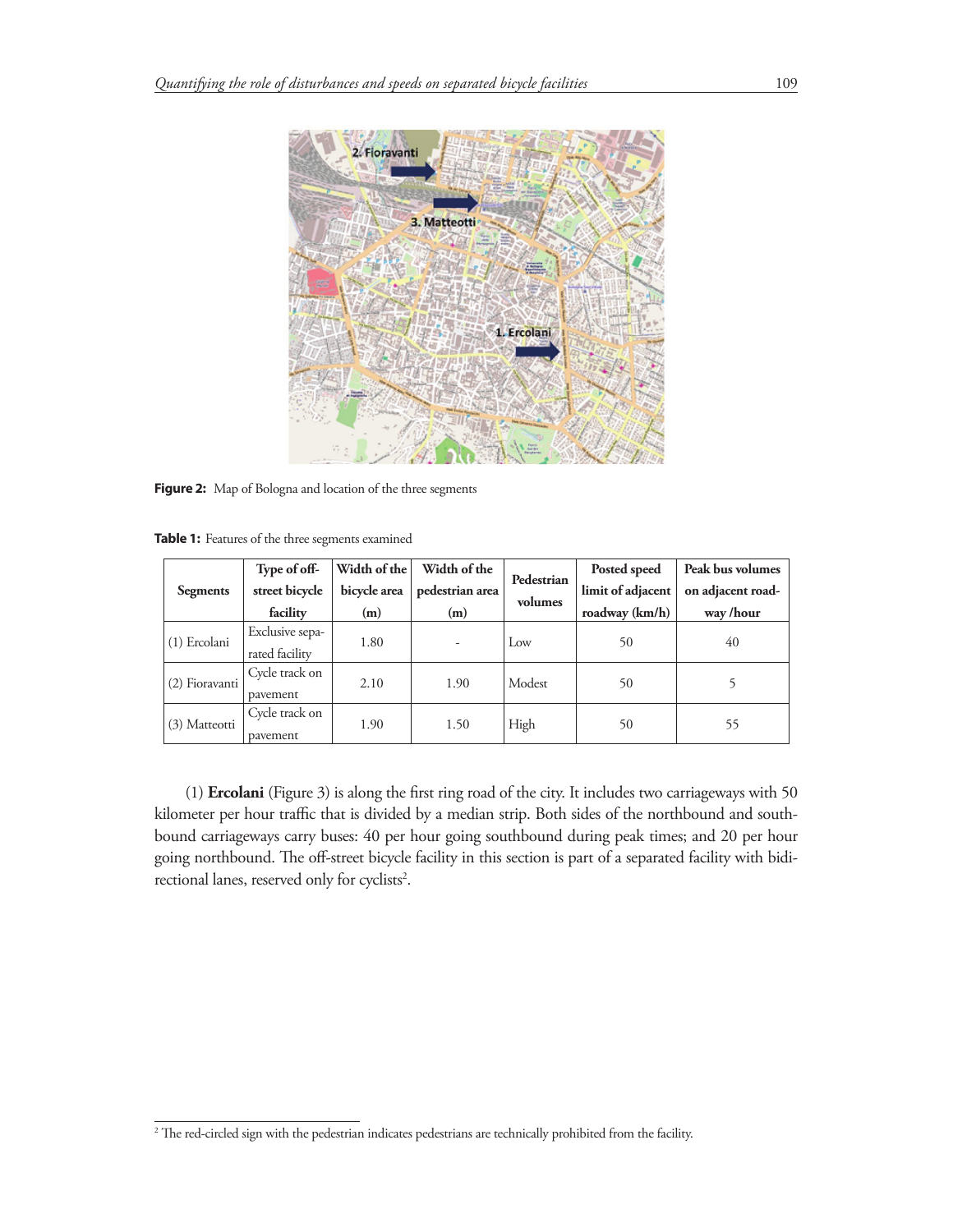

**Figure 2:** Map of Bologna and location of the three segments

**Table 1:** Features of the three segments examined

|                 | Type of off-    | Width of the | Width of the    | Pedestrian | Posted speed      | Peak bus volumes  |
|-----------------|-----------------|--------------|-----------------|------------|-------------------|-------------------|
| <b>Segments</b> | street bicycle  | bicycle area | pedestrian area | volumes    | limit of adjacent | on adjacent road- |
|                 | facility        | (m)          | (m)             |            | roadway (km/h)    | way /hour         |
| (1) Ercolani    | Exclusive sepa- | 1.80         |                 | Low        | 50                | 40                |
|                 | rated facility  |              |                 |            |                   |                   |
| (2) Fioravanti  | Cycle track on  | 2.10         | 1.90            | Modest     | 50                |                   |
|                 | pavement        |              |                 |            |                   |                   |
| (3) Matteotti   | Cycle track on  | 1.90         | 1.50            | High       |                   |                   |
|                 | payement        |              |                 |            | 50                | 55                |

(1) **Ercolani** (Figure 3) is along the first ring road of the city. It includes two carriageways with 50 kilometer per hour traffic that is divided by a median strip. Both sides of the northbound and southbound carriageways carry buses: 40 per hour going southbound during peak times; and 20 per hour going northbound. The off-street bicycle facility in this section is part of a separated facility with bidirectional lanes, reserved only for cyclists<sup>2</sup>.

<sup>2</sup> The red-circled sign with the pedestrian indicates pedestrians are technically prohibited from the facility.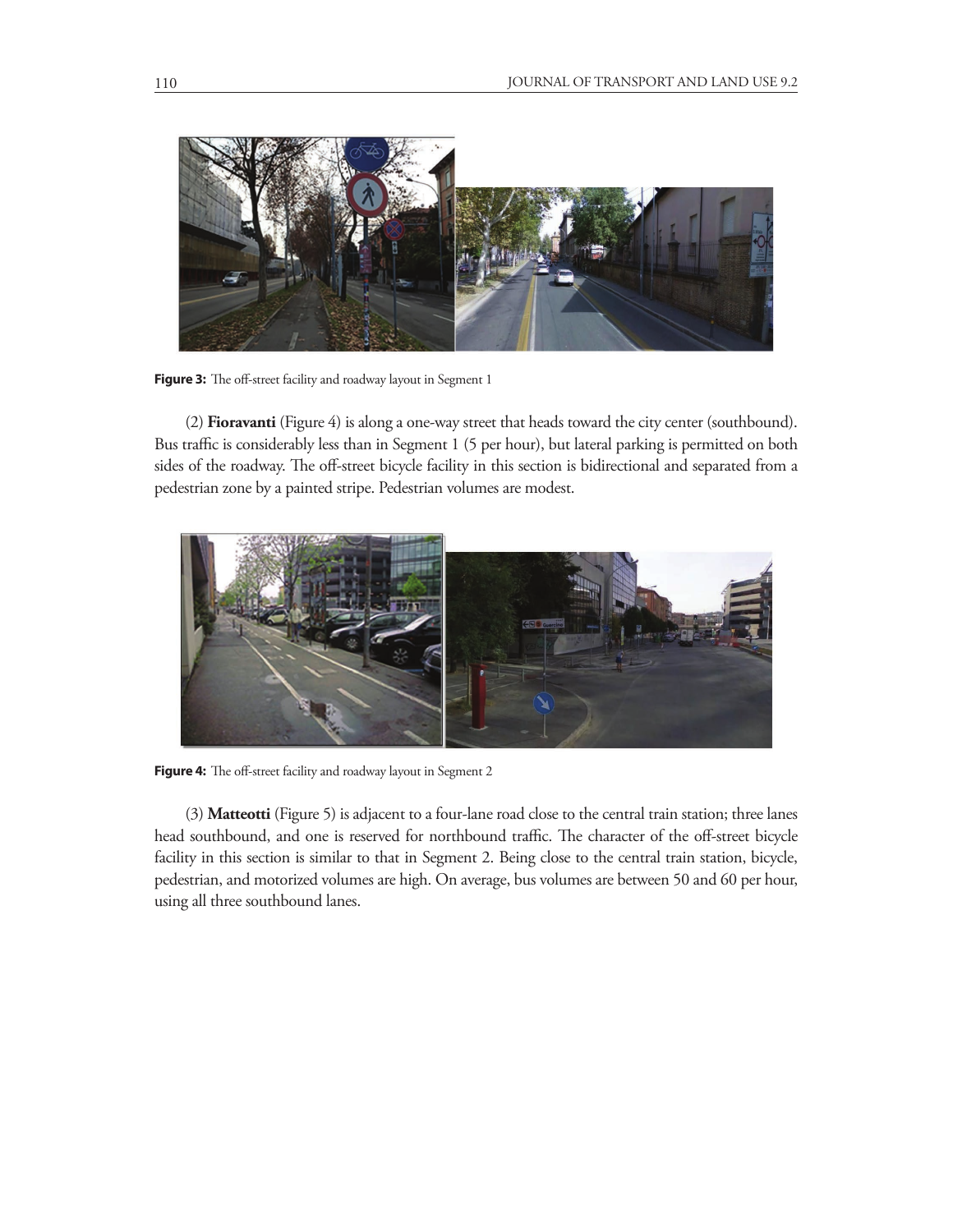

**Figure 3:** The off-street facility and roadway layout in Segment 1

(2) **Fioravanti** (Figure 4) is along a one-way street that heads toward the city center (southbound). Bus traffic is considerably less than in Segment 1 (5 per hour), but lateral parking is permitted on both sides of the roadway. The off-street bicycle facility in this section is bidirectional and separated from a pedestrian zone by a painted stripe. Pedestrian volumes are modest.



**Figure 4:** The off-street facility and roadway layout in Segment 2

(3) **Matteotti** (Figure 5) is adjacent to a four-lane road close to the central train station; three lanes head southbound, and one is reserved for northbound traffic. The character of the off-street bicycle facility in this section is similar to that in Segment 2. Being close to the central train station, bicycle, pedestrian, and motorized volumes are high. On average, bus volumes are between 50 and 60 per hour, using all three southbound lanes.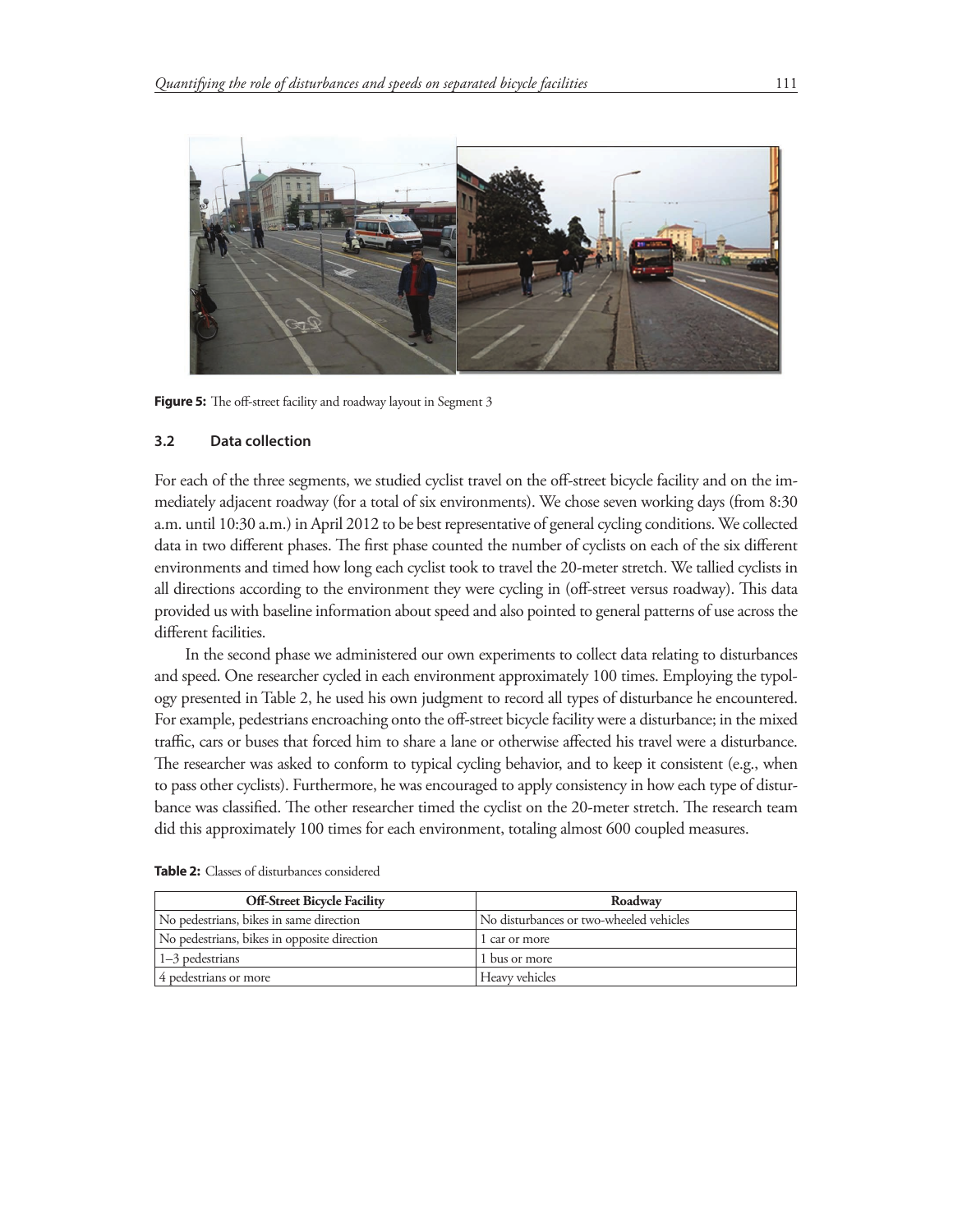

Figure 5: The off-street facility and roadway layout in Segment 3

## **3.2 Data collection**

For each of the three segments, we studied cyclist travel on the off-street bicycle facility and on the immediately adjacent roadway (for a total of six environments). We chose seven working days (from 8:30 a.m. until 10:30 a.m.) in April 2012 to be best representative of general cycling conditions. We collected data in two different phases. The first phase counted the number of cyclists on each of the six different environments and timed how long each cyclist took to travel the 20-meter stretch. We tallied cyclists in all directions according to the environment they were cycling in (off-street versus roadway). This data provided us with baseline information about speed and also pointed to general patterns of use across the different facilities.

In the second phase we administered our own experiments to collect data relating to disturbances and speed. One researcher cycled in each environment approximately 100 times. Employing the typology presented in Table 2, he used his own judgment to record all types of disturbance he encountered. For example, pedestrians encroaching onto the off-street bicycle facility were a disturbance; in the mixed traffic, cars or buses that forced him to share a lane or otherwise affected his travel were a disturbance. The researcher was asked to conform to typical cycling behavior, and to keep it consistent (e.g., when to pass other cyclists). Furthermore, he was encouraged to apply consistency in how each type of disturbance was classified. The other researcher timed the cyclist on the 20-meter stretch. The research team did this approximately 100 times for each environment, totaling almost 600 coupled measures.

| <b>Off-Street Bicycle Facility</b>          | Roadway                                 |
|---------------------------------------------|-----------------------------------------|
| No pedestrians, bikes in same direction     | No disturbances or two-wheeled vehicles |
| No pedestrians, bikes in opposite direction | 1 car or more                           |
| $1-3$ pedestrians                           | 1 bus or more                           |
| 4 pedestrians or more                       | Heavy vehicles                          |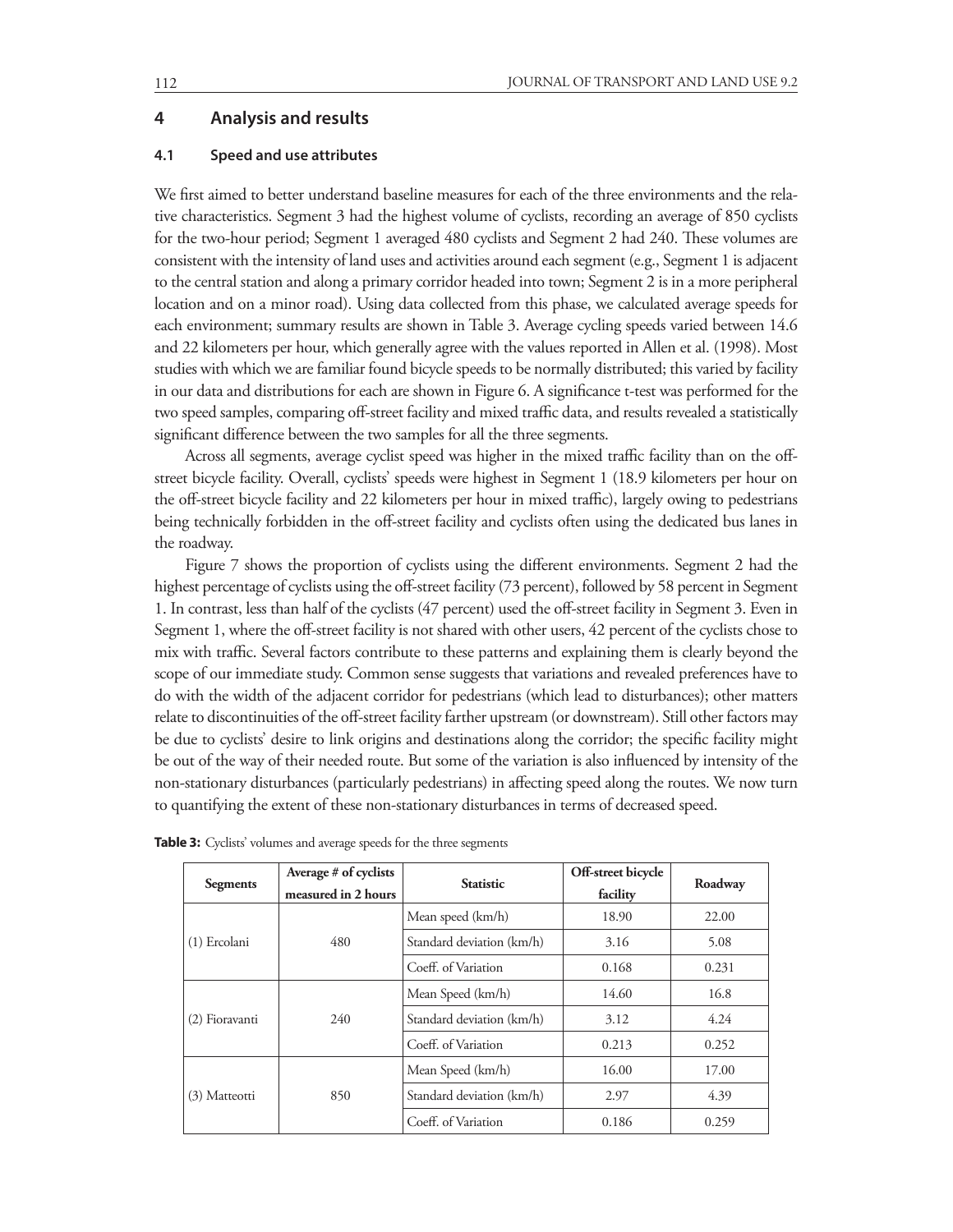## **4 Analysis and results**

#### **4.1 Speed and use attributes**

We first aimed to better understand baseline measures for each of the three environments and the relative characteristics. Segment 3 had the highest volume of cyclists, recording an average of 850 cyclists for the two-hour period; Segment 1 averaged 480 cyclists and Segment 2 had 240. These volumes are consistent with the intensity of land uses and activities around each segment (e.g., Segment 1 is adjacent to the central station and along a primary corridor headed into town; Segment 2 is in a more peripheral location and on a minor road). Using data collected from this phase, we calculated average speeds for each environment; summary results are shown in Table 3. Average cycling speeds varied between 14.6 and 22 kilometers per hour, which generally agree with the values reported in Allen et al. (1998). Most studies with which we are familiar found bicycle speeds to be normally distributed; this varied by facility in our data and distributions for each are shown in Figure 6. A significance t-test was performed for the two speed samples, comparing off-street facility and mixed traffic data, and results revealed a statistically significant difference between the two samples for all the three segments.

Across all segments, average cyclist speed was higher in the mixed traffic facility than on the offstreet bicycle facility. Overall, cyclists' speeds were highest in Segment 1 (18.9 kilometers per hour on the off-street bicycle facility and 22 kilometers per hour in mixed traffic), largely owing to pedestrians being technically forbidden in the off-street facility and cyclists often using the dedicated bus lanes in the roadway.

Figure 7 shows the proportion of cyclists using the different environments. Segment 2 had the highest percentage of cyclists using the off-street facility (73 percent), followed by 58 percent in Segment 1. In contrast, less than half of the cyclists (47 percent) used the off-street facility in Segment 3. Even in Segment 1, where the off-street facility is not shared with other users, 42 percent of the cyclists chose to mix with traffic. Several factors contribute to these patterns and explaining them is clearly beyond the scope of our immediate study. Common sense suggests that variations and revealed preferences have to do with the width of the adjacent corridor for pedestrians (which lead to disturbances); other matters relate to discontinuities of the off-street facility farther upstream (or downstream). Still other factors may be due to cyclists' desire to link origins and destinations along the corridor; the specific facility might be out of the way of their needed route. But some of the variation is also influenced by intensity of the non-stationary disturbances (particularly pedestrians) in affecting speed along the routes. We now turn to quantifying the extent of these non-stationary disturbances in terms of decreased speed.

| Segments       | Average # of cyclists<br>measured in 2 hours | <b>Statistic</b>          | Off-street bicycle<br>facility | Roadway |
|----------------|----------------------------------------------|---------------------------|--------------------------------|---------|
|                |                                              | Mean speed (km/h)         | 18.90                          | 22.00   |
| (1) Ercolani   | 480                                          | Standard deviation (km/h) | 3.16                           | 5.08    |
|                |                                              | Coeff. of Variation       | 0.168                          | 0.231   |
|                |                                              | Mean Speed (km/h)         | 14.60                          | 16.8    |
| (2) Fioravanti | 240                                          | Standard deviation (km/h) | 3.12                           | 4.24    |
|                |                                              | Coeff. of Variation       | 0.213                          | 0.252   |
|                |                                              | Mean Speed (km/h)         | 16.00                          | 17.00   |
| (3) Matteotti  | 850                                          | Standard deviation (km/h) | 2.97                           | 4.39    |
|                |                                              | Coeff. of Variation       | 0.186                          | 0.259   |

**Table 3:** Cyclists' volumes and average speeds for the three segments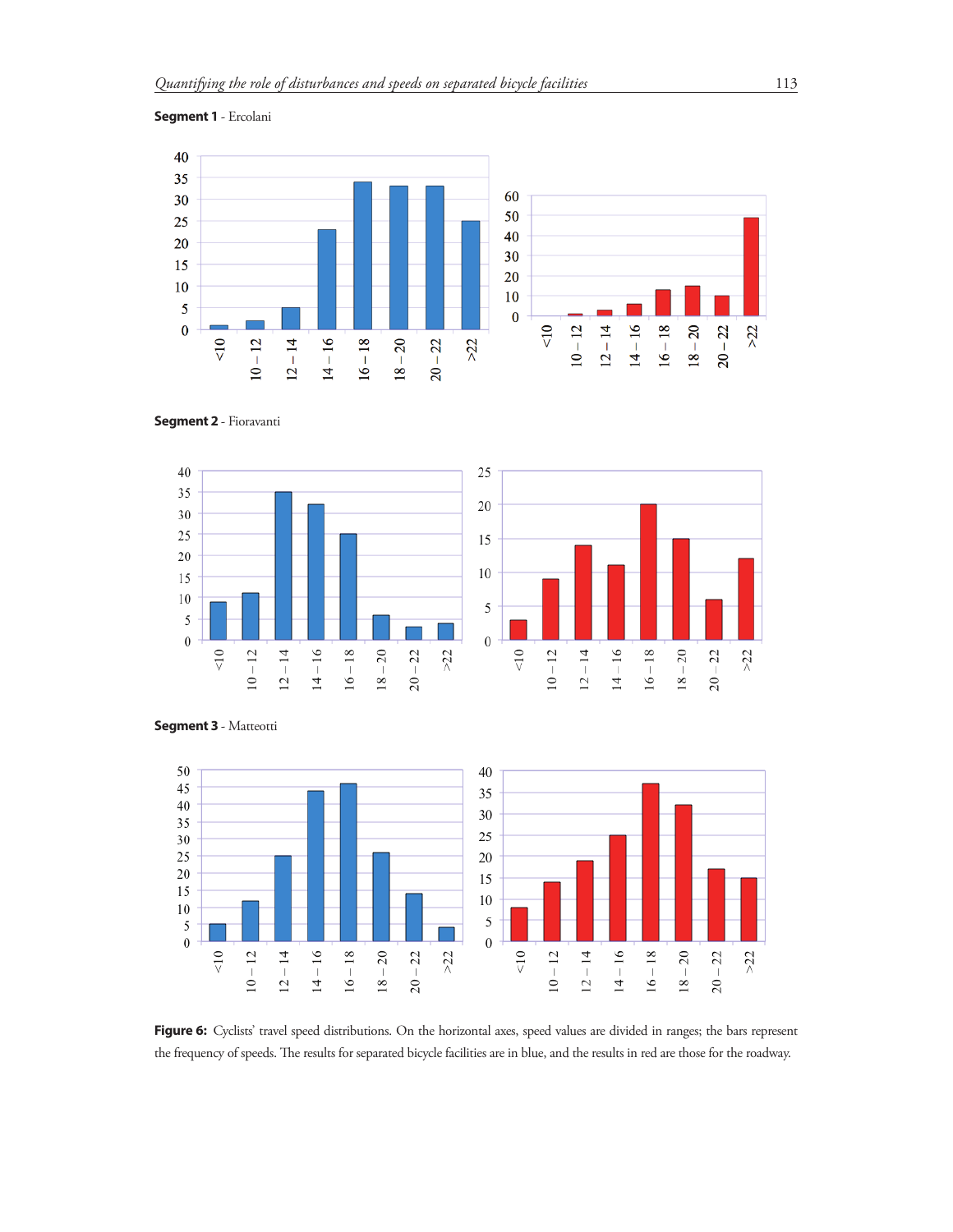



**Segment 2** - Fioravanti





**Segment 3** - Matteotti



Figure 6: Cyclists' travel speed distributions. On the horizontal axes, speed values are divided in ranges; the bars represent the frequency of speeds. The results for separated bicycle facilities are in blue, and the results in red are those for the roadway.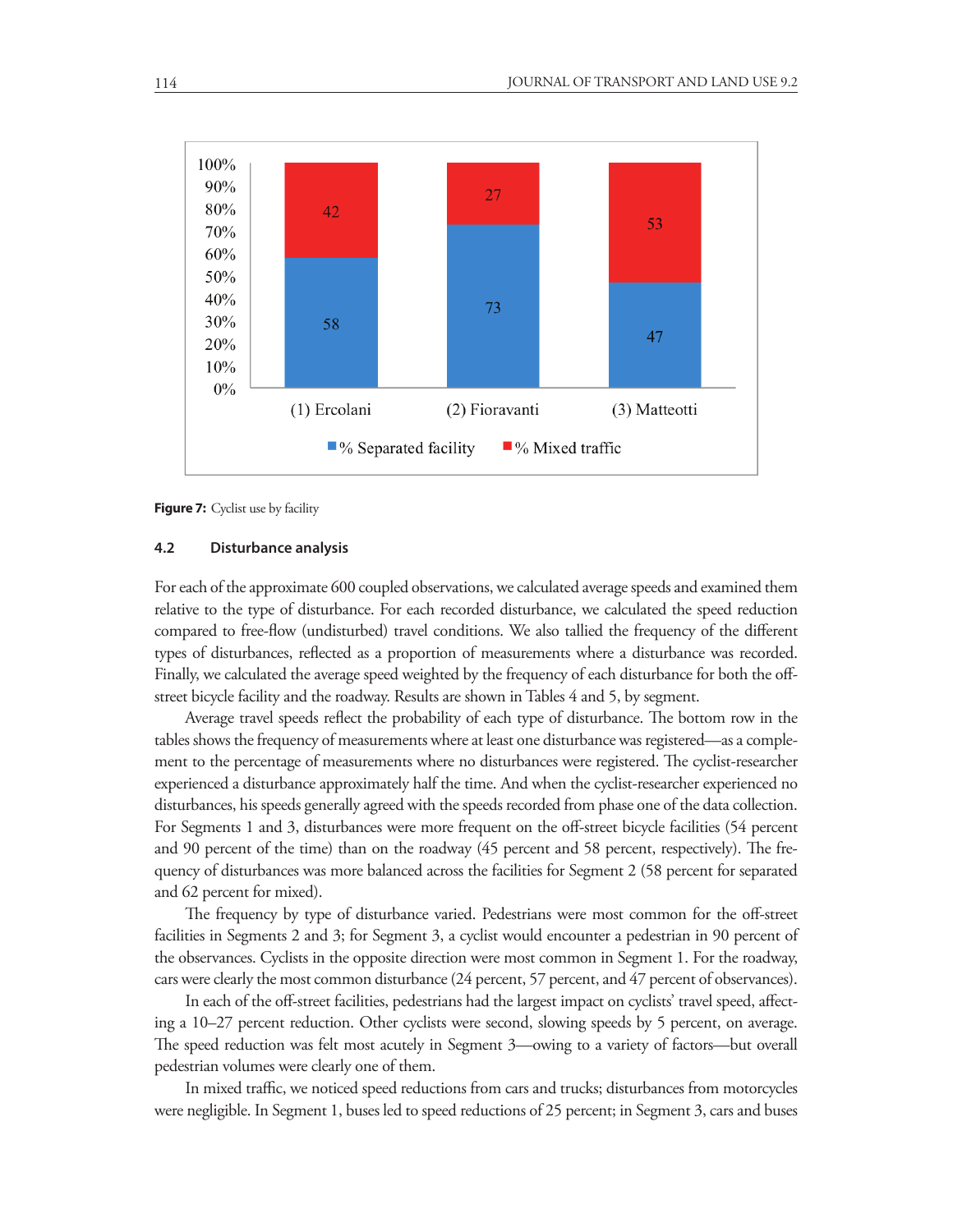

**Figure 7:** Cyclist use by facility

## **4.2 Disturbance analysis**

For each of the approximate 600 coupled observations, we calculated average speeds and examined them relative to the type of disturbance. For each recorded disturbance, we calculated the speed reduction compared to free-flow (undisturbed) travel conditions. We also tallied the frequency of the different types of disturbances, reflected as a proportion of measurements where a disturbance was recorded. Finally, we calculated the average speed weighted by the frequency of each disturbance for both the offstreet bicycle facility and the roadway. Results are shown in Tables 4 and 5, by segment.

Average travel speeds reflect the probability of each type of disturbance. The bottom row in the tables shows the frequency of measurements where at least one disturbance was registered—as a complement to the percentage of measurements where no disturbances were registered. The cyclist-researcher experienced a disturbance approximately half the time. And when the cyclist-researcher experienced no disturbances, his speeds generally agreed with the speeds recorded from phase one of the data collection. For Segments 1 and 3, disturbances were more frequent on the off-street bicycle facilities (54 percent and 90 percent of the time) than on the roadway (45 percent and 58 percent, respectively). The frequency of disturbances was more balanced across the facilities for Segment 2 (58 percent for separated and 62 percent for mixed).

The frequency by type of disturbance varied. Pedestrians were most common for the off-street facilities in Segments 2 and 3; for Segment 3, a cyclist would encounter a pedestrian in 90 percent of the observances. Cyclists in the opposite direction were most common in Segment 1. For the roadway, cars were clearly the most common disturbance (24 percent, 57 percent, and 47 percent of observances).

In each of the off-street facilities, pedestrians had the largest impact on cyclists' travel speed, affecting a 10–27 percent reduction. Other cyclists were second, slowing speeds by 5 percent, on average. The speed reduction was felt most acutely in Segment 3—owing to a variety of factors—but overall pedestrian volumes were clearly one of them.

In mixed traffic, we noticed speed reductions from cars and trucks; disturbances from motorcycles were negligible. In Segment 1, buses led to speed reductions of 25 percent; in Segment 3, cars and buses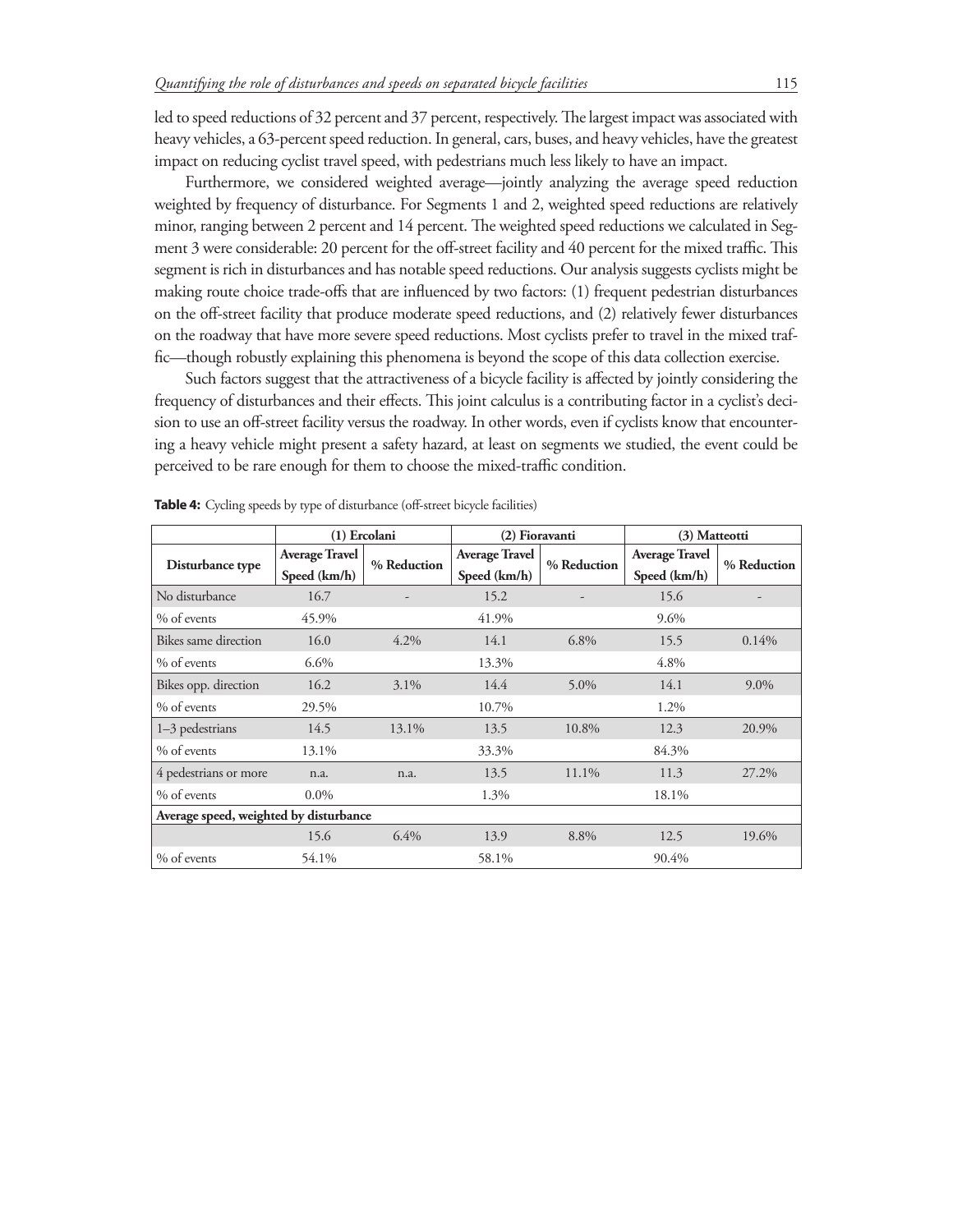led to speed reductions of 32 percent and 37 percent, respectively. The largest impact was associated with heavy vehicles, a 63-percent speed reduction. In general, cars, buses, and heavy vehicles, have the greatest impact on reducing cyclist travel speed, with pedestrians much less likely to have an impact.

Furthermore, we considered weighted average—jointly analyzing the average speed reduction weighted by frequency of disturbance. For Segments 1 and 2, weighted speed reductions are relatively minor, ranging between 2 percent and 14 percent. The weighted speed reductions we calculated in Segment 3 were considerable: 20 percent for the off-street facility and 40 percent for the mixed traffic. This segment is rich in disturbances and has notable speed reductions. Our analysis suggests cyclists might be making route choice trade-offs that are influenced by two factors: (1) frequent pedestrian disturbances on the off-street facility that produce moderate speed reductions, and (2) relatively fewer disturbances on the roadway that have more severe speed reductions. Most cyclists prefer to travel in the mixed traffic—though robustly explaining this phenomena is beyond the scope of this data collection exercise.

Such factors suggest that the attractiveness of a bicycle facility is affected by jointly considering the frequency of disturbances and their effects. This joint calculus is a contributing factor in a cyclist's decision to use an off-street facility versus the roadway. In other words, even if cyclists know that encountering a heavy vehicle might present a safety hazard, at least on segments we studied, the event could be perceived to be rare enough for them to choose the mixed-traffic condition.

|                                        | (1) Ercolani                          |             | (2) Fioravanti                        |             | (3) Matteotti                         |             |  |
|----------------------------------------|---------------------------------------|-------------|---------------------------------------|-------------|---------------------------------------|-------------|--|
| Disturbance type                       | <b>Average Travel</b><br>Speed (km/h) | % Reduction | <b>Average Travel</b><br>Speed (km/h) | % Reduction | <b>Average Travel</b><br>Speed (km/h) | % Reduction |  |
| No disturbance                         | 16.7                                  |             | 15.2                                  |             | 15.6                                  |             |  |
|                                        |                                       |             |                                       |             |                                       |             |  |
| % of events                            | 45.9%                                 |             | 41.9%                                 |             | 9.6%                                  |             |  |
| Bikes same direction                   | 16.0                                  | 4.2%        | 14.1                                  | $6.8\%$     | 15.5                                  | 0.14%       |  |
| % of events                            | 6.6%                                  |             | 13.3%                                 |             | 4.8%                                  |             |  |
| Bikes opp. direction                   | 16.2                                  | 3.1%        | 14.4                                  | 5.0%        | 14.1                                  | $9.0\%$     |  |
| % of events                            | 29.5%                                 |             | 10.7%                                 |             | 1.2%                                  |             |  |
| 1-3 pedestrians                        | 14.5                                  | 13.1%       | 13.5                                  | 10.8%       | 12.3                                  | 20.9%       |  |
| % of events                            | 13.1%                                 |             | 33.3%                                 |             | 84.3%                                 |             |  |
| 4 pedestrians or more                  | n.a.                                  | n.a.        | 13.5                                  | 11.1%       | 11.3                                  | 27.2%       |  |
| % of events                            | $0.0\%$                               |             | 1.3%                                  |             | 18.1%                                 |             |  |
| Average speed, weighted by disturbance |                                       |             |                                       |             |                                       |             |  |
|                                        | 15.6                                  | 6.4%        | 13.9                                  | 8.8%        | 12.5                                  | 19.6%       |  |
| % of events                            | 54.1%                                 |             | 58.1%                                 |             | 90.4%                                 |             |  |

Table 4: Cycling speeds by type of disturbance (off-street bicycle facilities)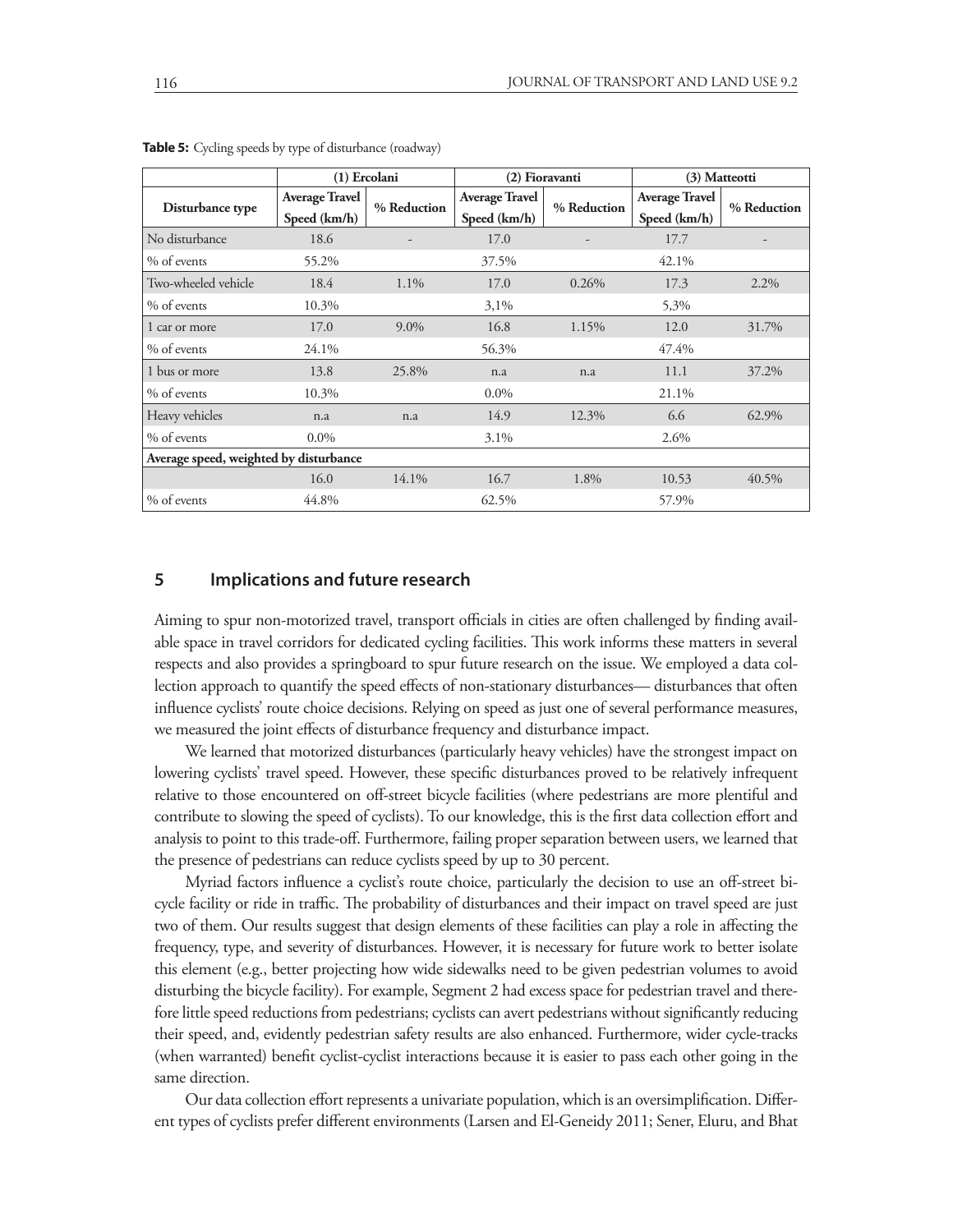|                                        | (1) Ercolani                          |             | (2) Fioravanti                        |             | (3) Matteotti                         |             |  |
|----------------------------------------|---------------------------------------|-------------|---------------------------------------|-------------|---------------------------------------|-------------|--|
| Disturbance type                       | <b>Average Travel</b><br>Speed (km/h) | % Reduction | <b>Average Travel</b><br>Speed (km/h) | % Reduction | <b>Average Travel</b><br>Speed (km/h) | % Reduction |  |
| No disturbance                         | 18.6                                  |             | 17.0                                  |             | 17.7                                  |             |  |
| % of events                            | 55.2%                                 |             | 37.5%                                 |             | 42.1%                                 |             |  |
| Two-wheeled vehicle                    | 18.4                                  | 1.1%        | 17.0                                  | 0.26%       | 17.3                                  | 2.2%        |  |
| % of events                            | 10.3%                                 |             | 3,1%                                  |             | 5,3%                                  |             |  |
| 1 car or more                          | 17.0                                  | 9.0%        | 16.8                                  | 1.15%       | 12.0                                  | 31.7%       |  |
| % of events                            | 24.1%                                 |             | 56.3%                                 |             | 47.4%                                 |             |  |
| 1 bus or more                          | 13.8                                  | 25.8%       | n.a                                   | n.a         | 11.1                                  | 37.2%       |  |
| % of events                            | 10.3%                                 |             | $0.0\%$                               |             | 21.1%                                 |             |  |
| Heavy vehicles                         | n.a                                   | n.a         | 14.9                                  | 12.3%       | 6.6                                   | 62.9%       |  |
| % of events                            | $0.0\%$                               |             | $3.1\%$                               |             | 2.6%                                  |             |  |
| Average speed, weighted by disturbance |                                       |             |                                       |             |                                       |             |  |
|                                        | 16.0                                  | 14.1%       | 16.7                                  | 1.8%        | 10.53                                 | 40.5%       |  |
| % of events                            | 44.8%                                 |             | 62.5%                                 |             | 57.9%                                 |             |  |

**Table 5:** Cycling speeds by type of disturbance (roadway)

## **5 Implications and future research**

Aiming to spur non-motorized travel, transport officials in cities are often challenged by finding available space in travel corridors for dedicated cycling facilities. This work informs these matters in several respects and also provides a springboard to spur future research on the issue. We employed a data collection approach to quantify the speed effects of non-stationary disturbances— disturbances that often influence cyclists' route choice decisions. Relying on speed as just one of several performance measures, we measured the joint effects of disturbance frequency and disturbance impact.

We learned that motorized disturbances (particularly heavy vehicles) have the strongest impact on lowering cyclists' travel speed. However, these specific disturbances proved to be relatively infrequent relative to those encountered on off-street bicycle facilities (where pedestrians are more plentiful and contribute to slowing the speed of cyclists). To our knowledge, this is the first data collection effort and analysis to point to this trade-off. Furthermore, failing proper separation between users, we learned that the presence of pedestrians can reduce cyclists speed by up to 30 percent.

Myriad factors influence a cyclist's route choice, particularly the decision to use an off-street bicycle facility or ride in traffic. The probability of disturbances and their impact on travel speed are just two of them. Our results suggest that design elements of these facilities can play a role in affecting the frequency, type, and severity of disturbances. However, it is necessary for future work to better isolate this element (e.g., better projecting how wide sidewalks need to be given pedestrian volumes to avoid disturbing the bicycle facility). For example, Segment 2 had excess space for pedestrian travel and therefore little speed reductions from pedestrians; cyclists can avert pedestrians without significantly reducing their speed, and, evidently pedestrian safety results are also enhanced. Furthermore, wider cycle-tracks (when warranted) benefit cyclist-cyclist interactions because it is easier to pass each other going in the same direction.

Our data collection effort represents a univariate population, which is an oversimplification. Different types of cyclists prefer different environments (Larsen and El-Geneidy 2011; Sener, Eluru, and Bhat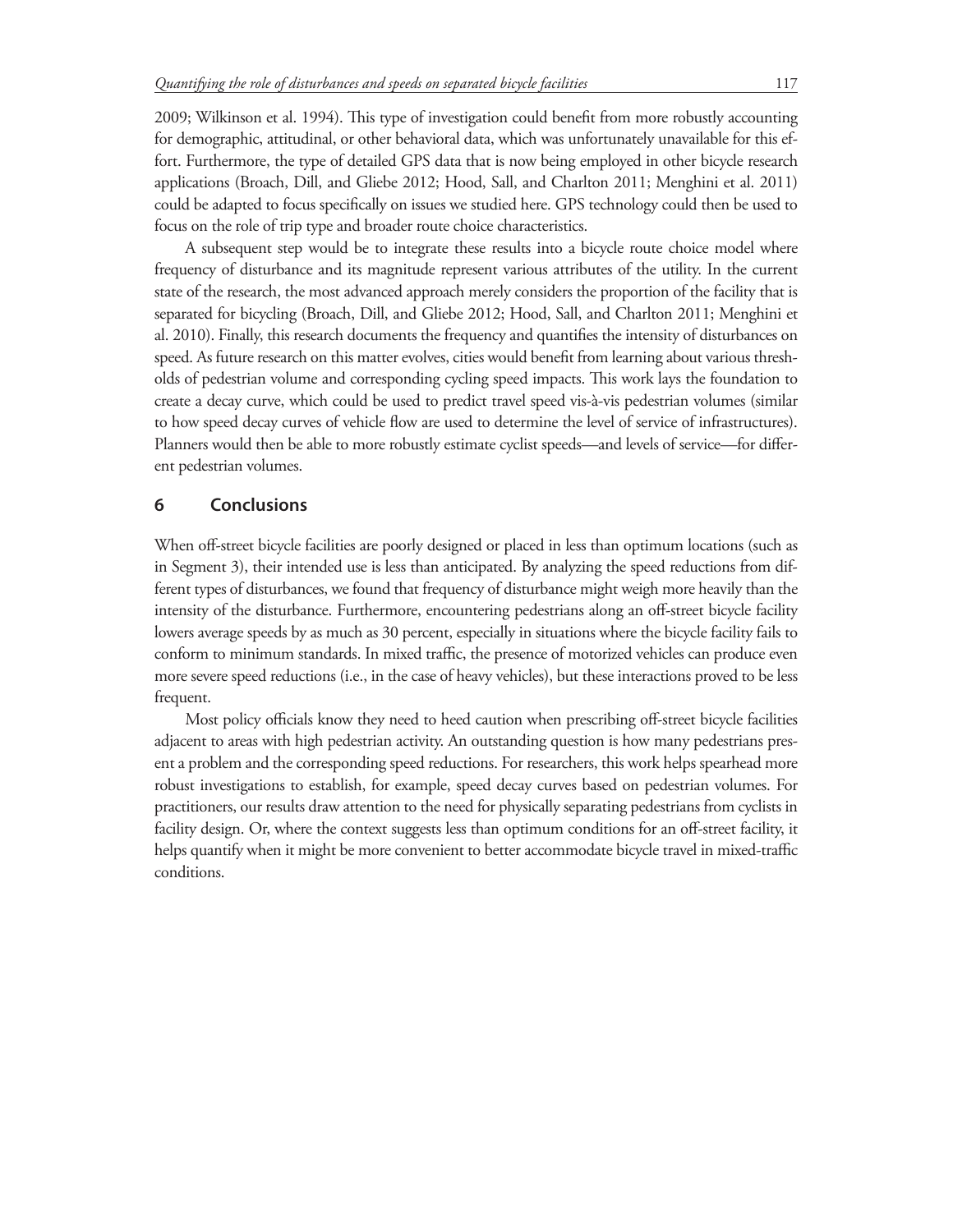2009; Wilkinson et al. 1994). This type of investigation could benefit from more robustly accounting for demographic, attitudinal, or other behavioral data, which was unfortunately unavailable for this effort. Furthermore, the type of detailed GPS data that is now being employed in other bicycle research applications (Broach, Dill, and Gliebe 2012; Hood, Sall, and Charlton 2011; Menghini et al. 2011) could be adapted to focus specifically on issues we studied here. GPS technology could then be used to focus on the role of trip type and broader route choice characteristics.

A subsequent step would be to integrate these results into a bicycle route choice model where frequency of disturbance and its magnitude represent various attributes of the utility. In the current state of the research, the most advanced approach merely considers the proportion of the facility that is separated for bicycling (Broach, Dill, and Gliebe 2012; Hood, Sall, and Charlton 2011; Menghini et al. 2010). Finally, this research documents the frequency and quantifies the intensity of disturbances on speed. As future research on this matter evolves, cities would benefit from learning about various thresholds of pedestrian volume and corresponding cycling speed impacts. This work lays the foundation to create a decay curve, which could be used to predict travel speed vis-à-vis pedestrian volumes (similar to how speed decay curves of vehicle flow are used to determine the level of service of infrastructures). Planners would then be able to more robustly estimate cyclist speeds—and levels of service—for different pedestrian volumes.

# **6 Conclusions**

When off-street bicycle facilities are poorly designed or placed in less than optimum locations (such as in Segment 3), their intended use is less than anticipated. By analyzing the speed reductions from different types of disturbances, we found that frequency of disturbance might weigh more heavily than the intensity of the disturbance. Furthermore, encountering pedestrians along an off-street bicycle facility lowers average speeds by as much as 30 percent, especially in situations where the bicycle facility fails to conform to minimum standards. In mixed traffic, the presence of motorized vehicles can produce even more severe speed reductions (i.e., in the case of heavy vehicles), but these interactions proved to be less frequent.

Most policy officials know they need to heed caution when prescribing off-street bicycle facilities adjacent to areas with high pedestrian activity. An outstanding question is how many pedestrians present a problem and the corresponding speed reductions. For researchers, this work helps spearhead more robust investigations to establish, for example, speed decay curves based on pedestrian volumes. For practitioners, our results draw attention to the need for physically separating pedestrians from cyclists in facility design. Or, where the context suggests less than optimum conditions for an off-street facility, it helps quantify when it might be more convenient to better accommodate bicycle travel in mixed-traffic conditions.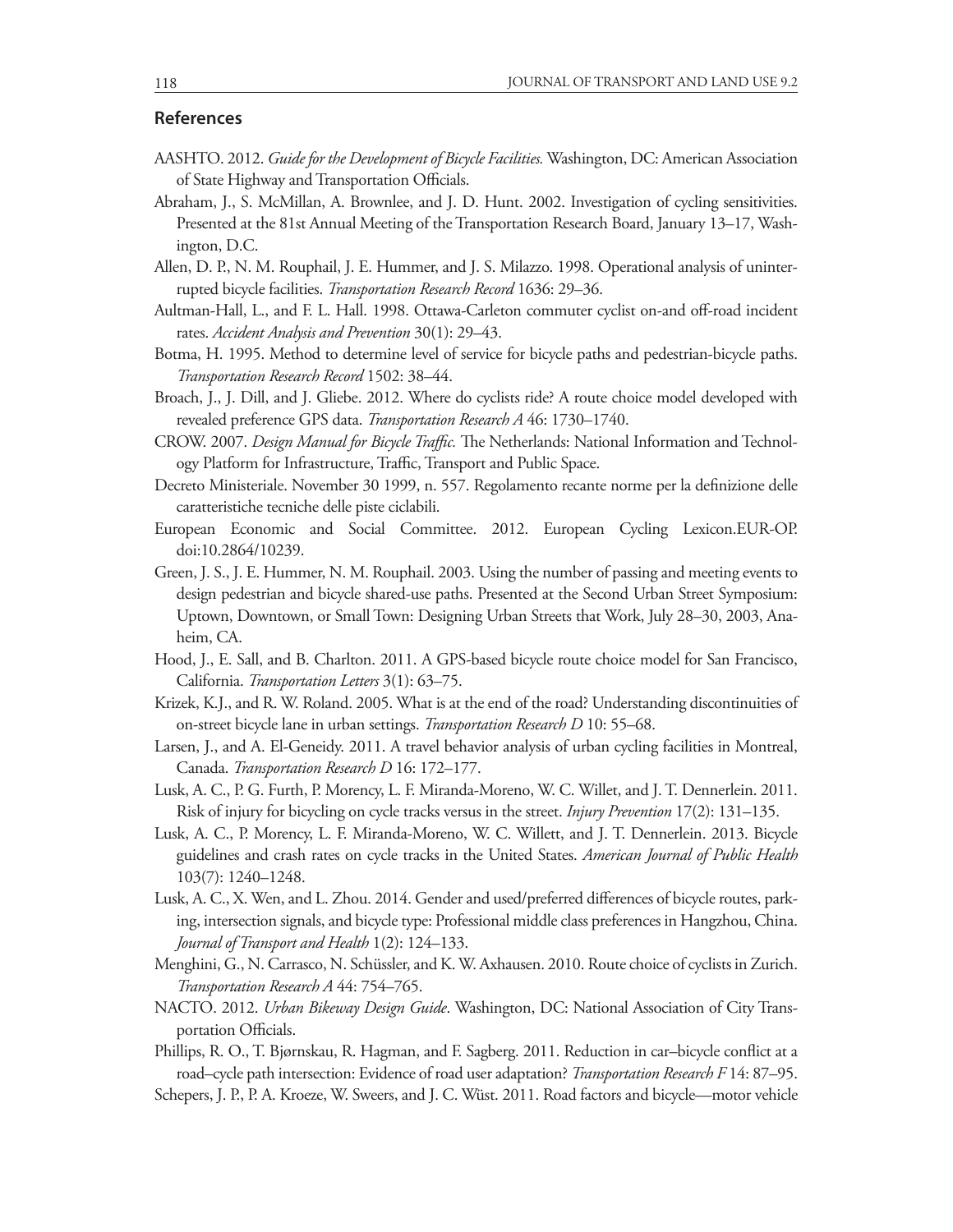#### **References**

- AASHTO. 2012. *Guide for the Development of Bicycle Facilities.* Washington, DC: American Association of State Highway and Transportation Officials.
- Abraham, J., S. McMillan, A. Brownlee, and J. D. Hunt. 2002. Investigation of cycling sensitivities. Presented at the 81st Annual Meeting of the Transportation Research Board, January 13–17, Washington, D.C.
- Allen, D. P., N. M. Rouphail, J. E. Hummer, and J. S. Milazzo. 1998. Operational analysis of uninterrupted bicycle facilities. *Transportation Research Record* 1636: 29–36.
- Aultman-Hall, L., and F. L. Hall. 1998. Ottawa-Carleton commuter cyclist on-and off-road incident rates. *Accident Analysis and Prevention* 30(1): 29–43.
- Botma, H. 1995. Method to determine level of service for bicycle paths and pedestrian-bicycle paths. *Transportation Research Record* 1502: 38–44.
- Broach, J., J. Dill, and J. Gliebe. 2012. Where do cyclists ride? A route choice model developed with revealed preference GPS data. *Transportation Research A* 46: 1730–1740.
- CROW. 2007. *Design Manual for Bicycle Traffic.* The Netherlands: National Information and Technology Platform for Infrastructure, Traffic, Transport and Public Space.
- Decreto Ministeriale. November 30 1999, n. 557. Regolamento recante norme per la definizione delle caratteristiche tecniche delle piste ciclabili.
- European Economic and Social Committee. 2012. European Cycling Lexicon.EUR-OP. doi:10.2864/10239.
- Green, J. S., J. E. Hummer, N. M. Rouphail. 2003. Using the number of passing and meeting events to design pedestrian and bicycle shared-use paths. Presented at the Second Urban Street Symposium: Uptown, Downtown, or Small Town: Designing Urban Streets that Work, July 28–30, 2003, Anaheim, CA.
- Hood, J., E. Sall, and B. Charlton. 2011. A GPS-based bicycle route choice model for San Francisco, California. *Transportation Letters* 3(1): 63–75.
- Krizek, K.J., and R. W. Roland. 2005. What is at the end of the road? Understanding discontinuities of on-street bicycle lane in urban settings. *Transportation Research D* 10: 55–68.
- Larsen, J., and A. El-Geneidy. 2011. A travel behavior analysis of urban cycling facilities in Montreal, Canada. *Transportation Research D* 16: 172–177.
- Lusk, A. C., P. G. Furth, P. Morency, L. F. Miranda-Moreno, W. C. Willet, and J. T. Dennerlein. 2011. Risk of injury for bicycling on cycle tracks versus in the street. *Injury Prevention* 17(2): 131–135.
- Lusk, A. C., P. Morency, L. F. Miranda-Moreno, W. C. Willett, and J. T. Dennerlein. 2013. Bicycle guidelines and crash rates on cycle tracks in the United States. *American Journal of Public Health*  103(7): 1240–1248.
- Lusk, A. C., X. Wen, and L. Zhou. 2014. Gender and used/preferred differences of bicycle routes, parking, intersection signals, and bicycle type: Professional middle class preferences in Hangzhou, China. *Journal of Transport and Health* 1(2): 124–133.
- Menghini, G., N. Carrasco, N. Schüssler, and K. W. Axhausen. 2010. Route choice of cyclists in Zurich. *Transportation Research A* 44: 754–765.
- NACTO. 2012. *Urban Bikeway Design Guide*. Washington, DC: National Association of City Transportation Officials.
- Phillips, R. O., T. Bjørnskau, R. Hagman, and F. Sagberg. 2011. Reduction in car–bicycle conflict at a road–cycle path intersection: Evidence of road user adaptation? *Transportation Research F* 14: 87–95.
- Schepers, J. P., P. A. Kroeze, W. Sweers, and J. C. Wüst. 2011. Road factors and bicycle—motor vehicle